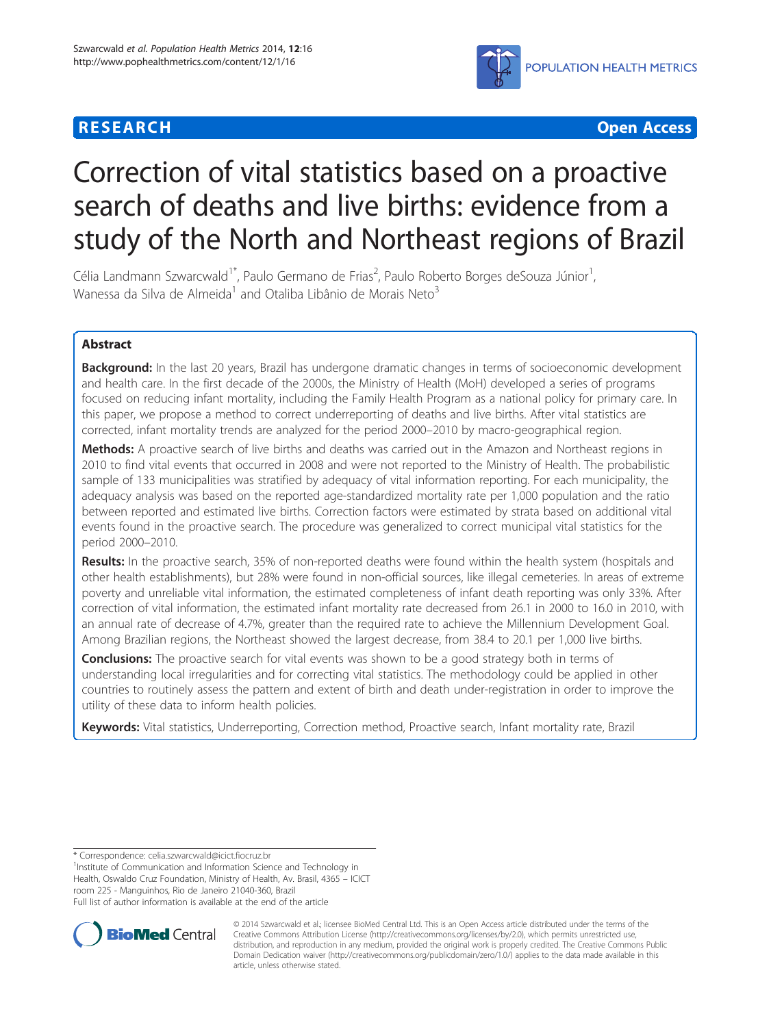# **RESEARCH CHILD CONTROL** CONTROL CONTROL CONTROL CONTROL CONTROL CONTROL CONTROL CONTROL CONTROL CONTROL CONTROL CONTROL CONTROL CONTROL CONTROL CONTROL CONTROL CONTROL CONTROL CONTROL CONTROL CONTROL CONTROL CONTROL CONTR



# Correction of vital statistics based on a proactive search of deaths and live births: evidence from a study of the North and Northeast regions of Brazil

Célia Landmann Szwarcwald<sup>1\*</sup>, Paulo Germano de Frias<sup>2</sup>, Paulo Roberto Borges deSouza Júnior<sup>1</sup> , Wanessa da Silva de Almeida<sup>1</sup> and Otaliba Libânio de Morais Neto<sup>3</sup>

# Abstract

Background: In the last 20 years, Brazil has undergone dramatic changes in terms of socioeconomic development and health care. In the first decade of the 2000s, the Ministry of Health (MoH) developed a series of programs focused on reducing infant mortality, including the Family Health Program as a national policy for primary care. In this paper, we propose a method to correct underreporting of deaths and live births. After vital statistics are corrected, infant mortality trends are analyzed for the period 2000–2010 by macro-geographical region.

Methods: A proactive search of live births and deaths was carried out in the Amazon and Northeast regions in 2010 to find vital events that occurred in 2008 and were not reported to the Ministry of Health. The probabilistic sample of 133 municipalities was stratified by adequacy of vital information reporting. For each municipality, the adequacy analysis was based on the reported age-standardized mortality rate per 1,000 population and the ratio between reported and estimated live births. Correction factors were estimated by strata based on additional vital events found in the proactive search. The procedure was generalized to correct municipal vital statistics for the period 2000–2010.

Results: In the proactive search, 35% of non-reported deaths were found within the health system (hospitals and other health establishments), but 28% were found in non-official sources, like illegal cemeteries. In areas of extreme poverty and unreliable vital information, the estimated completeness of infant death reporting was only 33%. After correction of vital information, the estimated infant mortality rate decreased from 26.1 in 2000 to 16.0 in 2010, with an annual rate of decrease of 4.7%, greater than the required rate to achieve the Millennium Development Goal. Among Brazilian regions, the Northeast showed the largest decrease, from 38.4 to 20.1 per 1,000 live births.

**Conclusions:** The proactive search for vital events was shown to be a good strategy both in terms of understanding local irregularities and for correcting vital statistics. The methodology could be applied in other countries to routinely assess the pattern and extent of birth and death under-registration in order to improve the utility of these data to inform health policies.

Keywords: Vital statistics, Underreporting, Correction method, Proactive search, Infant mortality rate, Brazil

\* Correspondence: [celia.szwarcwald@icict.fiocruz.br](mailto:celia.szwarcwald@icict.fiocruz.br) <sup>1</sup>

<sup>1</sup>Institute of Communication and Information Science and Technology in Health, Oswaldo Cruz Foundation, Ministry of Health, Av. Brasil, 4365 – ICICT room 225 - Manguinhos, Rio de Janeiro 21040-360, Brazil Full list of author information is available at the end of the article



© 2014 Szwarcwald et al.; licensee BioMed Central Ltd. This is an Open Access article distributed under the terms of the Creative Commons Attribution License (<http://creativecommons.org/licenses/by/2.0>), which permits unrestricted use, distribution, and reproduction in any medium, provided the original work is properly credited. The Creative Commons Public Domain Dedication waiver [\(http://creativecommons.org/publicdomain/zero/1.0/\)](http://creativecommons.org/publicdomain/zero/1.0/) applies to the data made available in this article, unless otherwise stated.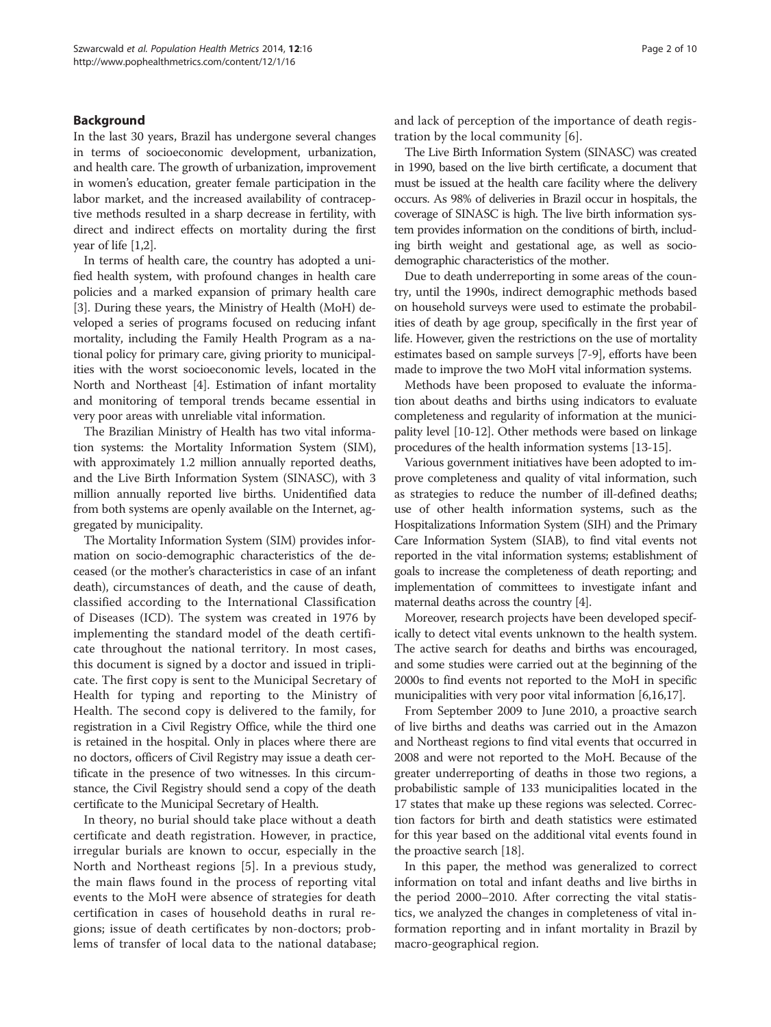# Background

In the last 30 years, Brazil has undergone several changes in terms of socioeconomic development, urbanization, and health care. The growth of urbanization, improvement in women's education, greater female participation in the labor market, and the increased availability of contraceptive methods resulted in a sharp decrease in fertility, with direct and indirect effects on mortality during the first year of life [\[1,2\]](#page-8-0).

In terms of health care, the country has adopted a unified health system, with profound changes in health care policies and a marked expansion of primary health care [[3\]](#page-8-0). During these years, the Ministry of Health (MoH) developed a series of programs focused on reducing infant mortality, including the Family Health Program as a national policy for primary care, giving priority to municipalities with the worst socioeconomic levels, located in the North and Northeast [\[4](#page-8-0)]. Estimation of infant mortality and monitoring of temporal trends became essential in very poor areas with unreliable vital information.

The Brazilian Ministry of Health has two vital information systems: the Mortality Information System (SIM), with approximately 1.2 million annually reported deaths, and the Live Birth Information System (SINASC), with 3 million annually reported live births. Unidentified data from both systems are openly available on the Internet, aggregated by municipality.

The Mortality Information System (SIM) provides information on socio-demographic characteristics of the deceased (or the mother's characteristics in case of an infant death), circumstances of death, and the cause of death, classified according to the International Classification of Diseases (ICD). The system was created in 1976 by implementing the standard model of the death certificate throughout the national territory. In most cases, this document is signed by a doctor and issued in triplicate. The first copy is sent to the Municipal Secretary of Health for typing and reporting to the Ministry of Health. The second copy is delivered to the family, for registration in a Civil Registry Office, while the third one is retained in the hospital. Only in places where there are no doctors, officers of Civil Registry may issue a death certificate in the presence of two witnesses. In this circumstance, the Civil Registry should send a copy of the death certificate to the Municipal Secretary of Health.

In theory, no burial should take place without a death certificate and death registration. However, in practice, irregular burials are known to occur, especially in the North and Northeast regions [[5\]](#page-8-0). In a previous study, the main flaws found in the process of reporting vital events to the MoH were absence of strategies for death certification in cases of household deaths in rural regions; issue of death certificates by non-doctors; problems of transfer of local data to the national database; and lack of perception of the importance of death registration by the local community [\[6](#page-8-0)].

The Live Birth Information System (SINASC) was created in 1990, based on the live birth certificate, a document that must be issued at the health care facility where the delivery occurs. As 98% of deliveries in Brazil occur in hospitals, the coverage of SINASC is high. The live birth information system provides information on the conditions of birth, including birth weight and gestational age, as well as sociodemographic characteristics of the mother.

Due to death underreporting in some areas of the country, until the 1990s, indirect demographic methods based on household surveys were used to estimate the probabilities of death by age group, specifically in the first year of life. However, given the restrictions on the use of mortality estimates based on sample surveys [\[7](#page-8-0)-[9](#page-8-0)], efforts have been made to improve the two MoH vital information systems.

Methods have been proposed to evaluate the information about deaths and births using indicators to evaluate completeness and regularity of information at the municipality level [[10](#page-8-0)-[12](#page-8-0)]. Other methods were based on linkage procedures of the health information systems [\[13-15\]](#page-8-0).

Various government initiatives have been adopted to improve completeness and quality of vital information, such as strategies to reduce the number of ill-defined deaths; use of other health information systems, such as the Hospitalizations Information System (SIH) and the Primary Care Information System (SIAB), to find vital events not reported in the vital information systems; establishment of goals to increase the completeness of death reporting; and implementation of committees to investigate infant and maternal deaths across the country [\[4](#page-8-0)].

Moreover, research projects have been developed specifically to detect vital events unknown to the health system. The active search for deaths and births was encouraged, and some studies were carried out at the beginning of the 2000s to find events not reported to the MoH in specific municipalities with very poor vital information [\[6,16,17\]](#page-8-0).

From September 2009 to June 2010, a proactive search of live births and deaths was carried out in the Amazon and Northeast regions to find vital events that occurred in 2008 and were not reported to the MoH. Because of the greater underreporting of deaths in those two regions, a probabilistic sample of 133 municipalities located in the 17 states that make up these regions was selected. Correction factors for birth and death statistics were estimated for this year based on the additional vital events found in the proactive search [\[18\]](#page-8-0).

In this paper, the method was generalized to correct information on total and infant deaths and live births in the period 2000–2010. After correcting the vital statistics, we analyzed the changes in completeness of vital information reporting and in infant mortality in Brazil by macro-geographical region.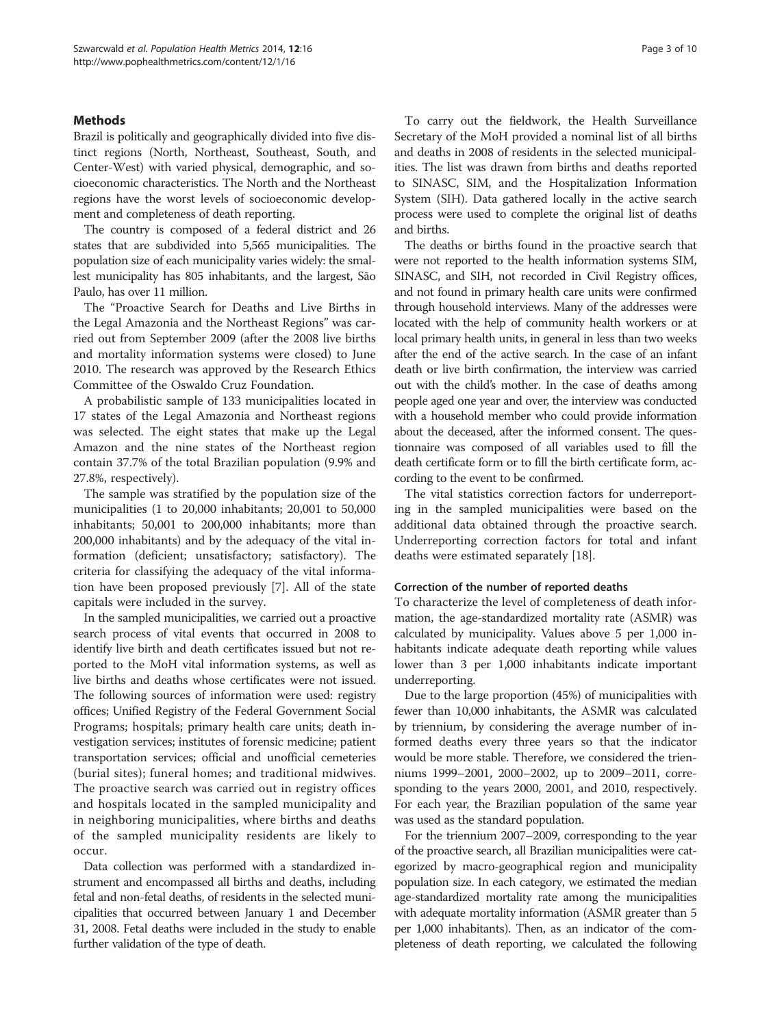# **Methods**

Brazil is politically and geographically divided into five distinct regions (North, Northeast, Southeast, South, and Center-West) with varied physical, demographic, and socioeconomic characteristics. The North and the Northeast regions have the worst levels of socioeconomic development and completeness of death reporting.

The country is composed of a federal district and 26 states that are subdivided into 5,565 municipalities. The population size of each municipality varies widely: the smallest municipality has 805 inhabitants, and the largest, São Paulo, has over 11 million.

The "Proactive Search for Deaths and Live Births in the Legal Amazonia and the Northeast Regions" was carried out from September 2009 (after the 2008 live births and mortality information systems were closed) to June 2010. The research was approved by the Research Ethics Committee of the Oswaldo Cruz Foundation.

A probabilistic sample of 133 municipalities located in 17 states of the Legal Amazonia and Northeast regions was selected. The eight states that make up the Legal Amazon and the nine states of the Northeast region contain 37.7% of the total Brazilian population (9.9% and 27.8%, respectively).

The sample was stratified by the population size of the municipalities (1 to 20,000 inhabitants; 20,001 to 50,000 inhabitants; 50,001 to 200,000 inhabitants; more than 200,000 inhabitants) and by the adequacy of the vital information (deficient; unsatisfactory; satisfactory). The criteria for classifying the adequacy of the vital information have been proposed previously [[7\]](#page-8-0). All of the state capitals were included in the survey.

In the sampled municipalities, we carried out a proactive search process of vital events that occurred in 2008 to identify live birth and death certificates issued but not reported to the MoH vital information systems, as well as live births and deaths whose certificates were not issued. The following sources of information were used: registry offices; Unified Registry of the Federal Government Social Programs; hospitals; primary health care units; death investigation services; institutes of forensic medicine; patient transportation services; official and unofficial cemeteries (burial sites); funeral homes; and traditional midwives. The proactive search was carried out in registry offices and hospitals located in the sampled municipality and in neighboring municipalities, where births and deaths of the sampled municipality residents are likely to occur.

Data collection was performed with a standardized instrument and encompassed all births and deaths, including fetal and non-fetal deaths, of residents in the selected municipalities that occurred between January 1 and December 31, 2008. Fetal deaths were included in the study to enable further validation of the type of death.

To carry out the fieldwork, the Health Surveillance Secretary of the MoH provided a nominal list of all births and deaths in 2008 of residents in the selected municipalities. The list was drawn from births and deaths reported to SINASC, SIM, and the Hospitalization Information System (SIH). Data gathered locally in the active search process were used to complete the original list of deaths and births.

The deaths or births found in the proactive search that were not reported to the health information systems SIM, SINASC, and SIH, not recorded in Civil Registry offices, and not found in primary health care units were confirmed through household interviews. Many of the addresses were located with the help of community health workers or at local primary health units, in general in less than two weeks after the end of the active search. In the case of an infant death or live birth confirmation, the interview was carried out with the child's mother. In the case of deaths among people aged one year and over, the interview was conducted with a household member who could provide information about the deceased, after the informed consent. The questionnaire was composed of all variables used to fill the death certificate form or to fill the birth certificate form, according to the event to be confirmed.

The vital statistics correction factors for underreporting in the sampled municipalities were based on the additional data obtained through the proactive search. Underreporting correction factors for total and infant deaths were estimated separately [[18\]](#page-8-0).

#### Correction of the number of reported deaths

To characterize the level of completeness of death information, the age-standardized mortality rate (ASMR) was calculated by municipality. Values above 5 per 1,000 inhabitants indicate adequate death reporting while values lower than 3 per 1,000 inhabitants indicate important underreporting.

Due to the large proportion (45%) of municipalities with fewer than 10,000 inhabitants, the ASMR was calculated by triennium, by considering the average number of informed deaths every three years so that the indicator would be more stable. Therefore, we considered the trienniums 1999–2001, 2000–2002, up to 2009–2011, corresponding to the years 2000, 2001, and 2010, respectively. For each year, the Brazilian population of the same year was used as the standard population.

For the triennium 2007–2009, corresponding to the year of the proactive search, all Brazilian municipalities were categorized by macro-geographical region and municipality population size. In each category, we estimated the median age-standardized mortality rate among the municipalities with adequate mortality information (ASMR greater than 5 per 1,000 inhabitants). Then, as an indicator of the completeness of death reporting, we calculated the following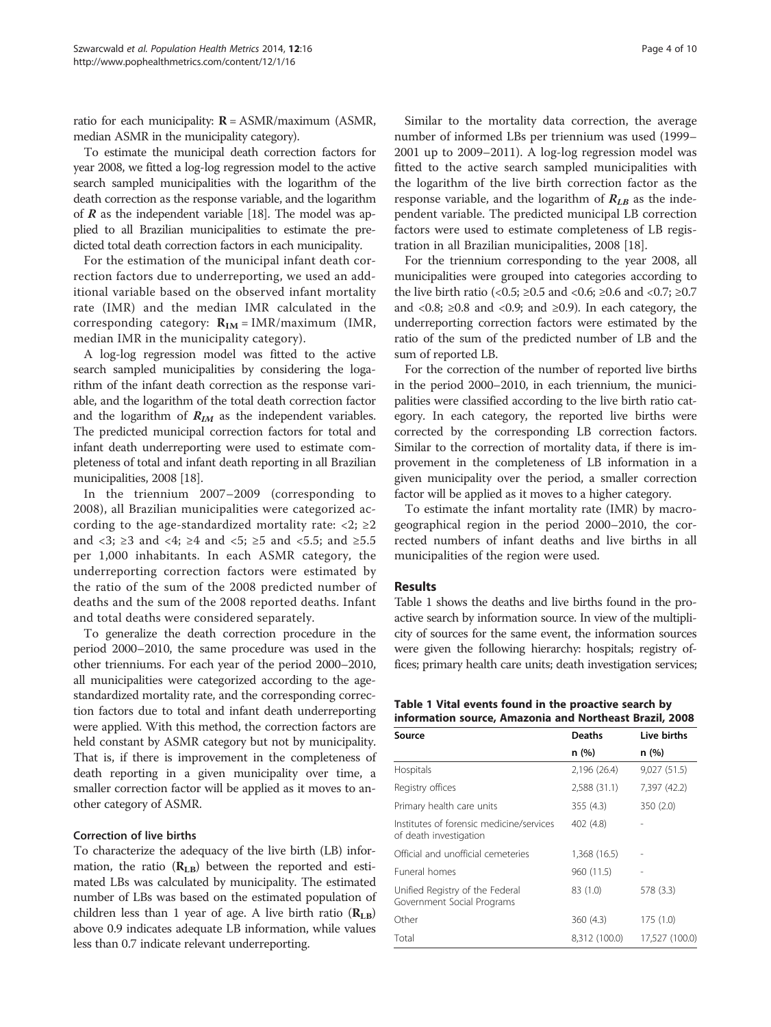<span id="page-3-0"></span>ratio for each municipality:  $R = ASMR/maximum$  (ASMR, median ASMR in the municipality category).

To estimate the municipal death correction factors for year 2008, we fitted a log-log regression model to the active search sampled municipalities with the logarithm of the death correction as the response variable, and the logarithm of  $\vec{R}$  as the independent variable [\[18\]](#page-8-0). The model was applied to all Brazilian municipalities to estimate the predicted total death correction factors in each municipality.

For the estimation of the municipal infant death correction factors due to underreporting, we used an additional variable based on the observed infant mortality rate (IMR) and the median IMR calculated in the corresponding category:  $R_{IM} = IMR/maximum$  (IMR, median IMR in the municipality category).

A log-log regression model was fitted to the active search sampled municipalities by considering the logarithm of the infant death correction as the response variable, and the logarithm of the total death correction factor and the logarithm of  $R_{IM}$  as the independent variables. The predicted municipal correction factors for total and infant death underreporting were used to estimate completeness of total and infant death reporting in all Brazilian municipalities, 2008 [\[18\]](#page-8-0).

In the triennium 2007–2009 (corresponding to 2008), all Brazilian municipalities were categorized according to the age-standardized mortality rate:  $\langle 2; \rangle 22$ and <3;  $\geq$ 3 and <4;  $\geq$ 4 and <5;  $\geq$ 5 and <5.5; and  $\geq$ 5.5 per 1,000 inhabitants. In each ASMR category, the underreporting correction factors were estimated by the ratio of the sum of the 2008 predicted number of deaths and the sum of the 2008 reported deaths. Infant and total deaths were considered separately.

To generalize the death correction procedure in the period 2000–2010, the same procedure was used in the other trienniums. For each year of the period 2000–2010, all municipalities were categorized according to the agestandardized mortality rate, and the corresponding correction factors due to total and infant death underreporting were applied. With this method, the correction factors are held constant by ASMR category but not by municipality. That is, if there is improvement in the completeness of death reporting in a given municipality over time, a smaller correction factor will be applied as it moves to another category of ASMR.

### Correction of live births

To characterize the adequacy of the live birth (LB) information, the ratio  $(R_{LB})$  between the reported and estimated LBs was calculated by municipality. The estimated number of LBs was based on the estimated population of children less than 1 year of age. A live birth ratio  $(R_{LB})$ above 0.9 indicates adequate LB information, while values less than 0.7 indicate relevant underreporting.

Similar to the mortality data correction, the average number of informed LBs per triennium was used (1999– 2001 up to 2009–2011). A log-log regression model was fitted to the active search sampled municipalities with the logarithm of the live birth correction factor as the response variable, and the logarithm of  $R_{LB}$  as the independent variable. The predicted municipal LB correction factors were used to estimate completeness of LB registration in all Brazilian municipalities, 2008 [\[18](#page-8-0)].

For the triennium corresponding to the year 2008, all municipalities were grouped into categories according to the live birth ratio (<0.5;  $\geq$ 0.5 and <0.6;  $\geq$ 0.6 and <0.7;  $\geq$ 0.7 and <0.8;  $\geq 0.8$  and <0.9; and  $\geq 0.9$ ). In each category, the underreporting correction factors were estimated by the ratio of the sum of the predicted number of LB and the sum of reported LB.

For the correction of the number of reported live births in the period 2000–2010, in each triennium, the municipalities were classified according to the live birth ratio category. In each category, the reported live births were corrected by the corresponding LB correction factors. Similar to the correction of mortality data, if there is improvement in the completeness of LB information in a given municipality over the period, a smaller correction factor will be applied as it moves to a higher category.

To estimate the infant mortality rate (IMR) by macrogeographical region in the period 2000–2010, the corrected numbers of infant deaths and live births in all municipalities of the region were used.

#### Results

Table 1 shows the deaths and live births found in the proactive search by information source. In view of the multiplicity of sources for the same event, the information sources were given the following hierarchy: hospitals; registry offices; primary health care units; death investigation services;

| Table 1 Vital events found in the proactive search by   |  |  |
|---------------------------------------------------------|--|--|
| information source, Amazonia and Northeast Brazil, 2008 |  |  |

| Source                                                             | <b>Deaths</b> | Live births    |
|--------------------------------------------------------------------|---------------|----------------|
|                                                                    | n (%)         | n(%)           |
| Hospitals                                                          | 2,196 (26.4)  | 9,027 (51.5)   |
| Registry offices                                                   | 2,588 (31.1)  | 7,397 (42.2)   |
| Primary health care units                                          | 355 (4.3)     | 350 (2.0)      |
| Institutes of forensic medicine/services<br>of death investigation | 402 (4.8)     |                |
| Official and unofficial cemeteries                                 | 1,368 (16.5)  |                |
| Funeral homes                                                      | 960 (11.5)    |                |
| Unified Registry of the Federal<br>Government Social Programs      | 83 (1.0)      | 578 (3.3)      |
| Other                                                              | 360(4.3)      | 175 (1.0)      |
| Total                                                              | 8,312 (100.0) | 17,527 (100.0) |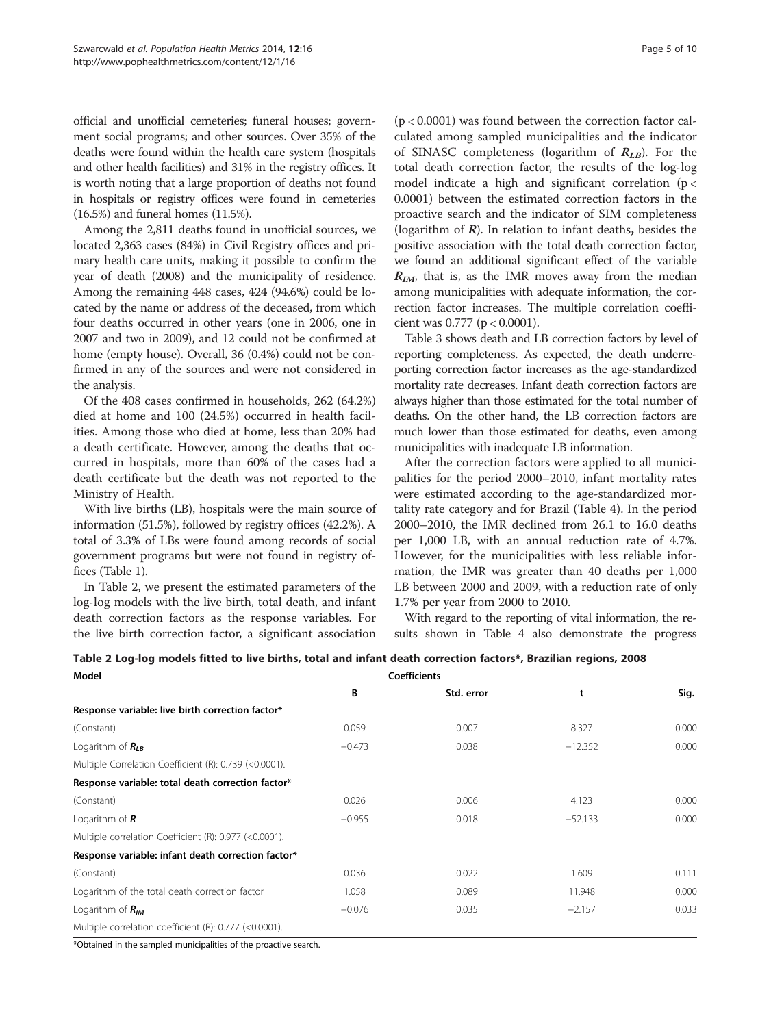official and unofficial cemeteries; funeral houses; government social programs; and other sources. Over 35% of the deaths were found within the health care system (hospitals and other health facilities) and 31% in the registry offices. It is worth noting that a large proportion of deaths not found in hospitals or registry offices were found in cemeteries (16.5%) and funeral homes (11.5%).

Among the 2,811 deaths found in unofficial sources, we located 2,363 cases (84%) in Civil Registry offices and primary health care units, making it possible to confirm the year of death (2008) and the municipality of residence. Among the remaining 448 cases, 424 (94.6%) could be located by the name or address of the deceased, from which four deaths occurred in other years (one in 2006, one in 2007 and two in 2009), and 12 could not be confirmed at home (empty house). Overall, 36 (0.4%) could not be confirmed in any of the sources and were not considered in the analysis.

Of the 408 cases confirmed in households, 262 (64.2%) died at home and 100 (24.5%) occurred in health facilities. Among those who died at home, less than 20% had a death certificate. However, among the deaths that occurred in hospitals, more than 60% of the cases had a death certificate but the death was not reported to the Ministry of Health.

With live births (LB), hospitals were the main source of information (51.5%), followed by registry offices (42.2%). A total of 3.3% of LBs were found among records of social government programs but were not found in registry offices (Table [1](#page-3-0)).

In Table 2, we present the estimated parameters of the log-log models with the live birth, total death, and infant death correction factors as the response variables. For the live birth correction factor, a significant association

(p < 0.0001) was found between the correction factor calculated among sampled municipalities and the indicator of SINASC completeness (logarithm of  $R_{LB}$ ). For the total death correction factor, the results of the log-log model indicate a high and significant correlation ( $p <$ 0.0001) between the estimated correction factors in the proactive search and the indicator of SIM completeness (logarithm of *). In relation to infant deaths, besides the* positive association with the total death correction factor, we found an additional significant effect of the variable  $R_{IM}$ , that is, as the IMR moves away from the median among municipalities with adequate information, the correction factor increases. The multiple correlation coefficient was 0.777 (p < 0.0001).

Table [3](#page-5-0) shows death and LB correction factors by level of reporting completeness. As expected, the death underreporting correction factor increases as the age-standardized mortality rate decreases. Infant death correction factors are always higher than those estimated for the total number of deaths. On the other hand, the LB correction factors are much lower than those estimated for deaths, even among municipalities with inadequate LB information.

After the correction factors were applied to all municipalities for the period 2000–2010, infant mortality rates were estimated according to the age-standardized mortality rate category and for Brazil (Table [4](#page-5-0)). In the period 2000–2010, the IMR declined from 26.1 to 16.0 deaths per 1,000 LB, with an annual reduction rate of 4.7%. However, for the municipalities with less reliable information, the IMR was greater than 40 deaths per 1,000 LB between 2000 and 2009, with a reduction rate of only 1.7% per year from 2000 to 2010.

With regard to the reporting of vital information, the results shown in Table [4](#page-5-0) also demonstrate the progress

|  |  | Table 2 Log-log models fitted to live births, total and infant death correction factors*, Brazilian regions, 2008 |
|--|--|-------------------------------------------------------------------------------------------------------------------|
|--|--|-------------------------------------------------------------------------------------------------------------------|

| Model                                                  |          | <b>Coefficients</b> |           |       |
|--------------------------------------------------------|----------|---------------------|-----------|-------|
|                                                        | B        | Std. error          | t         | Sig.  |
| Response variable: live birth correction factor*       |          |                     |           |       |
| (Constant)                                             | 0.059    | 0.007               | 8.327     | 0.000 |
| Logarithm of $R_{LB}$                                  | $-0.473$ | 0.038               | $-12.352$ | 0.000 |
| Multiple Correlation Coefficient (R): 0.739 (<0.0001). |          |                     |           |       |
| Response variable: total death correction factor*      |          |                     |           |       |
| (Constant)                                             | 0.026    | 0.006               | 4.123     | 0.000 |
| Logarithm of $R$                                       | $-0.955$ | 0.018               | $-52.133$ | 0.000 |
| Multiple correlation Coefficient (R): 0.977 (<0.0001). |          |                     |           |       |
| Response variable: infant death correction factor*     |          |                     |           |       |
| (Constant)                                             | 0.036    | 0.022               | 1.609     | 0.111 |
| Logarithm of the total death correction factor         | 1.058    | 0.089               | 11.948    | 0.000 |
| Logarithm of $R_{IM}$                                  | $-0.076$ | 0.035               | $-2.157$  | 0.033 |
| Multiple correlation coefficient (R): 0.777 (<0.0001). |          |                     |           |       |

\*Obtained in the sampled municipalities of the proactive search.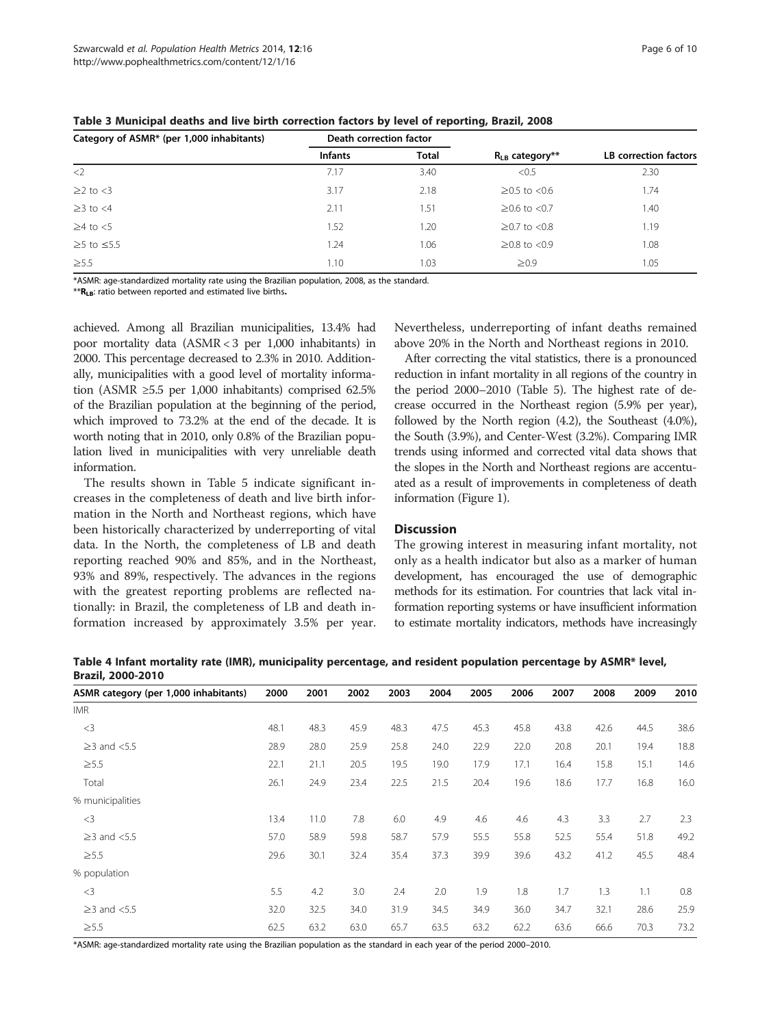| Category of ASMR* (per 1,000 inhabitants) | Death correction factor |              |                     |                              |  |
|-------------------------------------------|-------------------------|--------------|---------------------|------------------------------|--|
|                                           | <b>Infants</b>          | <b>Total</b> | $R_{LB}$ category** | <b>LB</b> correction factors |  |
| $<$ 2                                     | 7.17                    | 3.40         | < 0.5               | 2.30                         |  |
| $\geq$ 2 to <3                            | 3.17                    | 2.18         | $≥0.5$ to <0.6      | 1.74                         |  |
| $\geq$ 3 to $\lt$ 4                       | 2.11                    | 1.51         | $≥0.6$ to <0.7      | 1.40                         |  |
| $\geq$ 4 to $<$ 5                         | 1.52                    | 1.20         | $≥0.7$ to <0.8      | 1.19                         |  |
| $≥5$ to $≤5.5$                            | 1.24                    | 1.06         | $≥0.8$ to <0.9      | 1.08                         |  |
| $\geq 5.5$                                | 1.10                    | 1.03         | $\geq 0.9$          | 1.05                         |  |

<span id="page-5-0"></span>Table 3 Municipal deaths and live birth correction factors by level of reporting, Brazil, 2008

\*ASMR: age-standardized mortality rate using the Brazilian population, 2008, as the standard.

\*\*R<sub>LB</sub>: ratio between reported and estimated live births.

achieved. Among all Brazilian municipalities, 13.4% had poor mortality data (ASMR < 3 per 1,000 inhabitants) in 2000. This percentage decreased to 2.3% in 2010. Additionally, municipalities with a good level of mortality information (ASMR  $\geq 5.5$  per 1,000 inhabitants) comprised 62.5% of the Brazilian population at the beginning of the period, which improved to 73.2% at the end of the decade. It is worth noting that in 2010, only 0.8% of the Brazilian population lived in municipalities with very unreliable death information.

The results shown in Table [5](#page-6-0) indicate significant increases in the completeness of death and live birth information in the North and Northeast regions, which have been historically characterized by underreporting of vital data. In the North, the completeness of LB and death reporting reached 90% and 85%, and in the Northeast, 93% and 89%, respectively. The advances in the regions with the greatest reporting problems are reflected nationally: in Brazil, the completeness of LB and death information increased by approximately 3.5% per year. Nevertheless, underreporting of infant deaths remained above 20% in the North and Northeast regions in 2010.

After correcting the vital statistics, there is a pronounced reduction in infant mortality in all regions of the country in the period 2000–2010 (Table [5](#page-6-0)). The highest rate of decrease occurred in the Northeast region (5.9% per year), followed by the North region (4.2), the Southeast (4.0%), the South (3.9%), and Center-West (3.2%). Comparing IMR trends using informed and corrected vital data shows that the slopes in the North and Northeast regions are accentuated as a result of improvements in completeness of death information (Figure [1\)](#page-7-0).

### **Discussion**

The growing interest in measuring infant mortality, not only as a health indicator but also as a marker of human development, has encouraged the use of demographic methods for its estimation. For countries that lack vital information reporting systems or have insufficient information to estimate mortality indicators, methods have increasingly

Table 4 Infant mortality rate (IMR), municipality percentage, and resident population percentage by ASMR\* level, Brazil, 2000-2010

| .                                     |      |      |      |      |      |      |      |      |      |      |      |
|---------------------------------------|------|------|------|------|------|------|------|------|------|------|------|
| ASMR category (per 1,000 inhabitants) | 2000 | 2001 | 2002 | 2003 | 2004 | 2005 | 2006 | 2007 | 2008 | 2009 | 2010 |
| <b>IMR</b>                            |      |      |      |      |      |      |      |      |      |      |      |
| $<$ 3                                 | 48.1 | 48.3 | 45.9 | 48.3 | 47.5 | 45.3 | 45.8 | 43.8 | 42.6 | 44.5 | 38.6 |
| $\geq$ 3 and <5.5                     | 28.9 | 28.0 | 25.9 | 25.8 | 24.0 | 22.9 | 22.0 | 20.8 | 20.1 | 19.4 | 18.8 |
| $\geq 5.5$                            | 22.1 | 21.1 | 20.5 | 19.5 | 19.0 | 17.9 | 17.1 | 16.4 | 15.8 | 15.1 | 14.6 |
| Total                                 | 26.1 | 24.9 | 23.4 | 22.5 | 21.5 | 20.4 | 19.6 | 18.6 | 17.7 | 16.8 | 16.0 |
| % municipalities                      |      |      |      |      |      |      |      |      |      |      |      |
| $<$ 3                                 | 13.4 | 11.0 | 7.8  | 6.0  | 4.9  | 4.6  | 4.6  | 4.3  | 3.3  | 2.7  | 2.3  |
| $\geq$ 3 and <5.5                     | 57.0 | 58.9 | 59.8 | 58.7 | 57.9 | 55.5 | 55.8 | 52.5 | 55.4 | 51.8 | 49.2 |
| $\geq 5.5$                            | 29.6 | 30.1 | 32.4 | 35.4 | 37.3 | 39.9 | 39.6 | 43.2 | 41.2 | 45.5 | 48.4 |
| % population                          |      |      |      |      |      |      |      |      |      |      |      |
| $<$ 3                                 | 5.5  | 4.2  | 3.0  | 2.4  | 2.0  | 1.9  | 1.8  | 1.7  | 1.3  | 1.1  | 0.8  |
| $\geq$ 3 and <5.5                     | 32.0 | 32.5 | 34.0 | 31.9 | 34.5 | 34.9 | 36.0 | 34.7 | 32.1 | 28.6 | 25.9 |
| $\geq 5.5$                            | 62.5 | 63.2 | 63.0 | 65.7 | 63.5 | 63.2 | 62.2 | 63.6 | 66.6 | 70.3 | 73.2 |

\*ASMR: age-standardized mortality rate using the Brazilian population as the standard in each year of the period 2000–2010.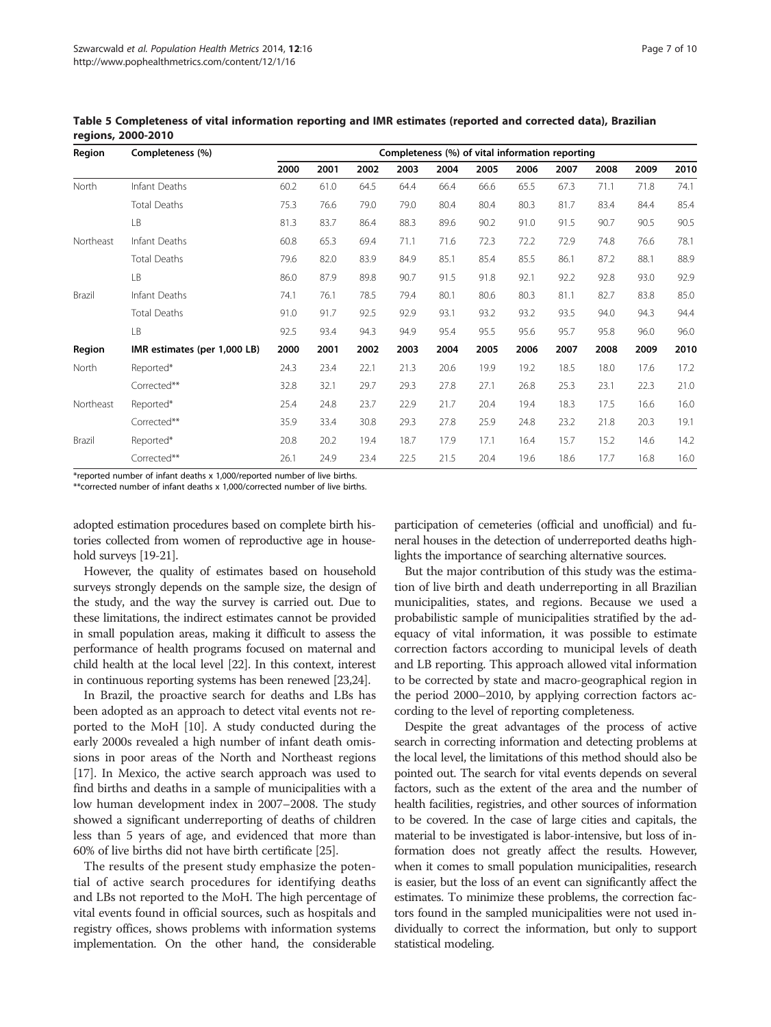| Region    | Completeness (%)             | Completeness (%) of vital information reporting |      |      |      |      |      |      |      |      |      |      |
|-----------|------------------------------|-------------------------------------------------|------|------|------|------|------|------|------|------|------|------|
|           |                              | 2000                                            | 2001 | 2002 | 2003 | 2004 | 2005 | 2006 | 2007 | 2008 | 2009 | 2010 |
| North     | Infant Deaths                | 60.2                                            | 61.0 | 64.5 | 64.4 | 66.4 | 66.6 | 65.5 | 67.3 | 71.1 | 71.8 | 74.1 |
|           | <b>Total Deaths</b>          | 75.3                                            | 76.6 | 79.0 | 79.0 | 80.4 | 80.4 | 80.3 | 81.7 | 83.4 | 84.4 | 85.4 |
|           | LB                           | 81.3                                            | 83.7 | 86.4 | 88.3 | 89.6 | 90.2 | 91.0 | 91.5 | 90.7 | 90.5 | 90.5 |
| Northeast | Infant Deaths                | 60.8                                            | 65.3 | 69.4 | 71.1 | 71.6 | 72.3 | 72.2 | 72.9 | 74.8 | 76.6 | 78.1 |
|           | <b>Total Deaths</b>          | 79.6                                            | 82.0 | 83.9 | 84.9 | 85.1 | 85.4 | 85.5 | 86.1 | 87.2 | 88.1 | 88.9 |
|           | LB                           | 86.0                                            | 87.9 | 89.8 | 90.7 | 91.5 | 91.8 | 92.1 | 92.2 | 92.8 | 93.0 | 92.9 |
| Brazil    | Infant Deaths                | 74.1                                            | 76.1 | 78.5 | 79.4 | 80.1 | 80.6 | 80.3 | 81.1 | 82.7 | 83.8 | 85.0 |
|           | <b>Total Deaths</b>          | 91.0                                            | 91.7 | 92.5 | 92.9 | 93.1 | 93.2 | 93.2 | 93.5 | 94.0 | 94.3 | 94.4 |
|           | LB                           | 92.5                                            | 93.4 | 94.3 | 94.9 | 95.4 | 95.5 | 95.6 | 95.7 | 95.8 | 96.0 | 96.0 |
| Region    | IMR estimates (per 1,000 LB) | 2000                                            | 2001 | 2002 | 2003 | 2004 | 2005 | 2006 | 2007 | 2008 | 2009 | 2010 |
| North     | Reported*                    | 24.3                                            | 23.4 | 22.1 | 21.3 | 20.6 | 19.9 | 19.2 | 18.5 | 18.0 | 17.6 | 17.2 |
|           | Corrected**                  | 32.8                                            | 32.1 | 29.7 | 29.3 | 27.8 | 27.1 | 26.8 | 25.3 | 23.1 | 22.3 | 21.0 |
| Northeast | Reported*                    | 25.4                                            | 24.8 | 23.7 | 22.9 | 21.7 | 20.4 | 19.4 | 18.3 | 17.5 | 16.6 | 16.0 |
|           | Corrected**                  | 35.9                                            | 33.4 | 30.8 | 29.3 | 27.8 | 25.9 | 24.8 | 23.2 | 21.8 | 20.3 | 19.1 |
| Brazil    | Reported*                    | 20.8                                            | 20.2 | 19.4 | 18.7 | 17.9 | 17.1 | 16.4 | 15.7 | 15.2 | 14.6 | 14.2 |
|           | Corrected**                  | 26.1                                            | 24.9 | 23.4 | 22.5 | 21.5 | 20.4 | 19.6 | 18.6 | 17.7 | 16.8 | 16.0 |

<span id="page-6-0"></span>Table 5 Completeness of vital information reporting and IMR estimates (reported and corrected data), Brazilian regions, 2000-2010

\*reported number of infant deaths x 1,000/reported number of live births.

\*\*corrected number of infant deaths x 1,000/corrected number of live births.

adopted estimation procedures based on complete birth histories collected from women of reproductive age in household surveys [[19-21\]](#page-8-0).

However, the quality of estimates based on household surveys strongly depends on the sample size, the design of the study, and the way the survey is carried out. Due to these limitations, the indirect estimates cannot be provided in small population areas, making it difficult to assess the performance of health programs focused on maternal and child health at the local level [\[22\]](#page-8-0). In this context, interest in continuous reporting systems has been renewed [[23,24](#page-8-0)].

In Brazil, the proactive search for deaths and LBs has been adopted as an approach to detect vital events not reported to the MoH [\[10\]](#page-8-0). A study conducted during the early 2000s revealed a high number of infant death omissions in poor areas of the North and Northeast regions [[17](#page-8-0)]. In Mexico, the active search approach was used to find births and deaths in a sample of municipalities with a low human development index in 2007–2008. The study showed a significant underreporting of deaths of children less than 5 years of age, and evidenced that more than 60% of live births did not have birth certificate [[25](#page-8-0)].

The results of the present study emphasize the potential of active search procedures for identifying deaths and LBs not reported to the MoH. The high percentage of vital events found in official sources, such as hospitals and registry offices, shows problems with information systems implementation. On the other hand, the considerable

participation of cemeteries (official and unofficial) and funeral houses in the detection of underreported deaths highlights the importance of searching alternative sources.

But the major contribution of this study was the estimation of live birth and death underreporting in all Brazilian municipalities, states, and regions. Because we used a probabilistic sample of municipalities stratified by the adequacy of vital information, it was possible to estimate correction factors according to municipal levels of death and LB reporting. This approach allowed vital information to be corrected by state and macro-geographical region in the period 2000–2010, by applying correction factors according to the level of reporting completeness.

Despite the great advantages of the process of active search in correcting information and detecting problems at the local level, the limitations of this method should also be pointed out. The search for vital events depends on several factors, such as the extent of the area and the number of health facilities, registries, and other sources of information to be covered. In the case of large cities and capitals, the material to be investigated is labor-intensive, but loss of information does not greatly affect the results. However, when it comes to small population municipalities, research is easier, but the loss of an event can significantly affect the estimates. To minimize these problems, the correction factors found in the sampled municipalities were not used individually to correct the information, but only to support statistical modeling.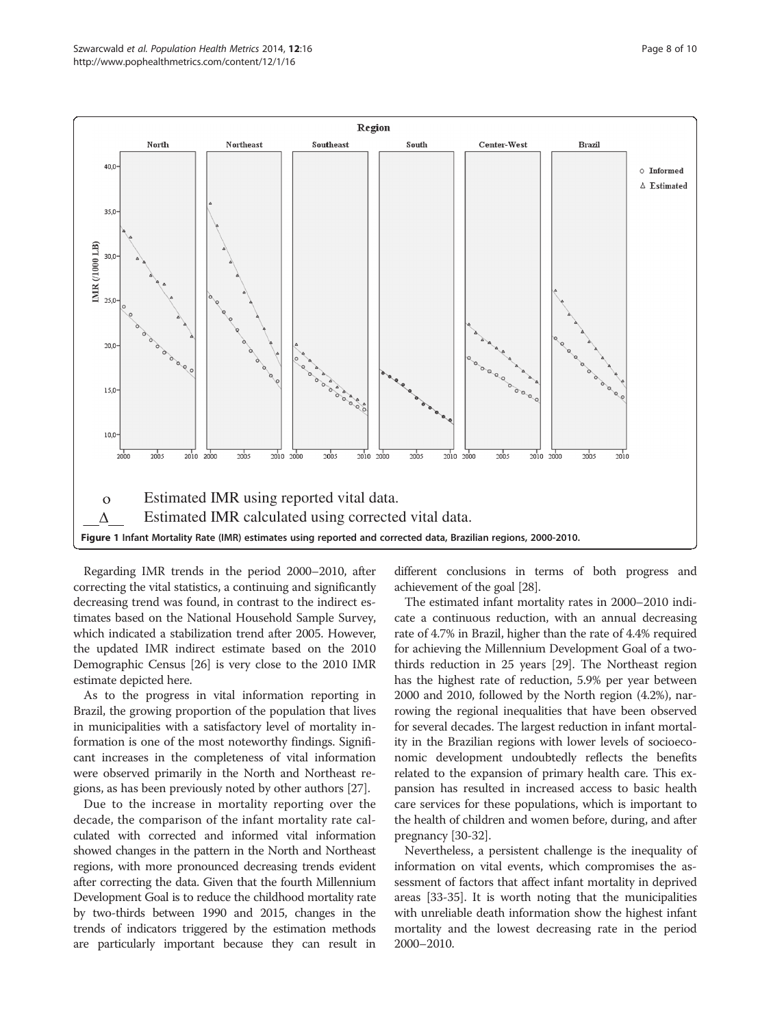<span id="page-7-0"></span>

Regarding IMR trends in the period 2000–2010, after correcting the vital statistics, a continuing and significantly decreasing trend was found, in contrast to the indirect estimates based on the National Household Sample Survey, which indicated a stabilization trend after 2005. However, the updated IMR indirect estimate based on the 2010 Demographic Census [\[26\]](#page-8-0) is very close to the 2010 IMR estimate depicted here.

As to the progress in vital information reporting in Brazil, the growing proportion of the population that lives in municipalities with a satisfactory level of mortality information is one of the most noteworthy findings. Significant increases in the completeness of vital information were observed primarily in the North and Northeast regions, as has been previously noted by other authors [\[27\]](#page-8-0).

Due to the increase in mortality reporting over the decade, the comparison of the infant mortality rate calculated with corrected and informed vital information showed changes in the pattern in the North and Northeast regions, with more pronounced decreasing trends evident after correcting the data. Given that the fourth Millennium Development Goal is to reduce the childhood mortality rate by two-thirds between 1990 and 2015, changes in the trends of indicators triggered by the estimation methods are particularly important because they can result in

different conclusions in terms of both progress and achievement of the goal [\[28\]](#page-8-0).

The estimated infant mortality rates in 2000–2010 indicate a continuous reduction, with an annual decreasing rate of 4.7% in Brazil, higher than the rate of 4.4% required for achieving the Millennium Development Goal of a twothirds reduction in 25 years [\[29\]](#page-8-0). The Northeast region has the highest rate of reduction, 5.9% per year between 2000 and 2010, followed by the North region (4.2%), narrowing the regional inequalities that have been observed for several decades. The largest reduction in infant mortality in the Brazilian regions with lower levels of socioeconomic development undoubtedly reflects the benefits related to the expansion of primary health care. This expansion has resulted in increased access to basic health care services for these populations, which is important to the health of children and women before, during, and after pregnancy [[30](#page-8-0)-[32](#page-9-0)].

Nevertheless, a persistent challenge is the inequality of information on vital events, which compromises the assessment of factors that affect infant mortality in deprived areas [[33](#page-9-0)-[35](#page-9-0)]. It is worth noting that the municipalities with unreliable death information show the highest infant mortality and the lowest decreasing rate in the period 2000–2010.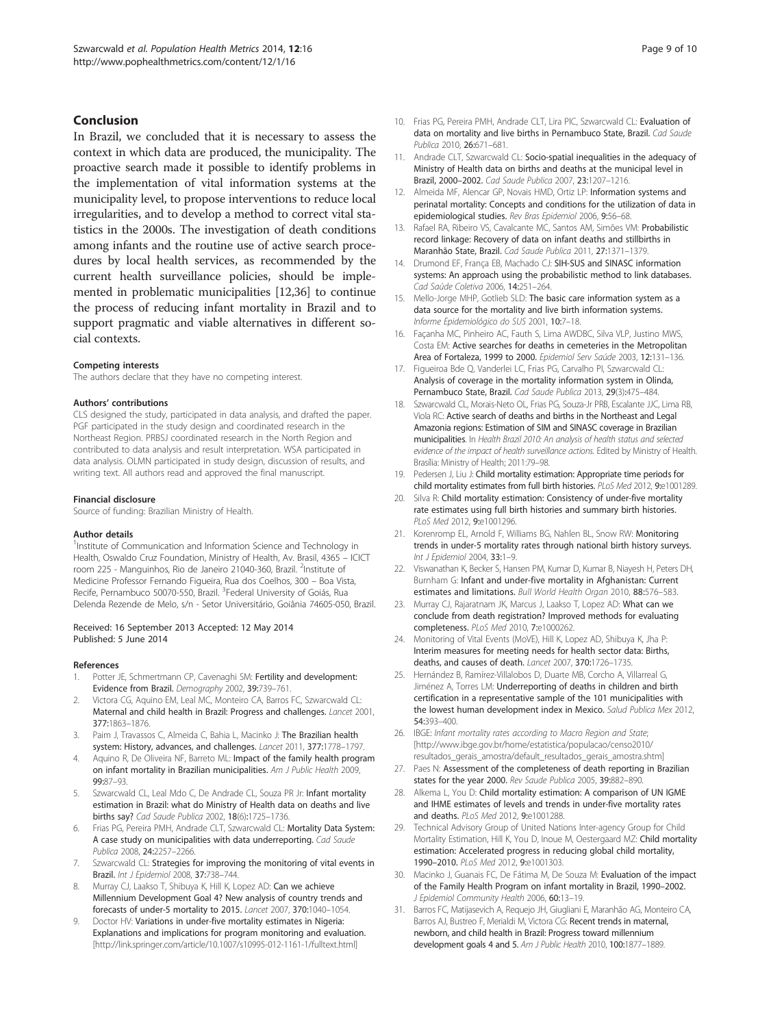## <span id="page-8-0"></span>Conclusion

In Brazil, we concluded that it is necessary to assess the context in which data are produced, the municipality. The proactive search made it possible to identify problems in the implementation of vital information systems at the municipality level, to propose interventions to reduce local irregularities, and to develop a method to correct vital statistics in the 2000s. The investigation of death conditions among infants and the routine use of active search procedures by local health services, as recommended by the current health surveillance policies, should be implemented in problematic municipalities [12[,36\]](#page-9-0) to continue the process of reducing infant mortality in Brazil and to support pragmatic and viable alternatives in different social contexts.

#### Competing interests

The authors declare that they have no competing interest.

#### Authors' contributions

CLS designed the study, participated in data analysis, and drafted the paper. PGF participated in the study design and coordinated research in the Northeast Region. PRBSJ coordinated research in the North Region and contributed to data analysis and result interpretation. WSA participated in data analysis. OLMN participated in study design, discussion of results, and writing text. All authors read and approved the final manuscript.

#### Financial disclosure

Source of funding: Brazilian Ministry of Health.

#### Author details

<sup>1</sup>Institute of Communication and Information Science and Technology in Health, Oswaldo Cruz Foundation, Ministry of Health, Av. Brasil, 4365 – ICICT room 225 - Manguinhos, Rio de Janeiro 21040-360, Brazil. <sup>2</sup>Institute of Medicine Professor Fernando Figueira, Rua dos Coelhos, 300 – Boa Vista, Recife, Pernambuco 50070-550, Brazil. <sup>3</sup>Federal University of Goiás, Rua Delenda Rezende de Melo, s/n - Setor Universitário, Goiânia 74605-050, Brazil.

#### Received: 16 September 2013 Accepted: 12 May 2014 Published: 5 June 2014

#### References

- 1. Potter JE, Schmertmann CP, Cavenaghi SM: Fertility and development: Evidence from Brazil. Demography 2002, 39:739–761.
- 2. Victora CG, Aquino EM, Leal MC, Monteiro CA, Barros FC, Szwarcwald CL: Maternal and child health in Brazil: Progress and challenges. Lancet 2001, 377:1863–1876.
- 3. Paim J, Travassos C, Almeida C, Bahia L, Macinko J: The Brazilian health system: History, advances, and challenges. Lancet 2011, 377:1778–1797.
- 4. Aquino R, De Oliveira NF, Barreto ML: Impact of the family health program on infant mortality in Brazilian municipalities. Am J Public Health 2009, 99:87–93.
- Szwarcwald CL, Leal Mdo C, De Andrade CL, Souza PR Jr: Infant mortality estimation in Brazil: what do Ministry of Health data on deaths and live births say? Cad Saude Publica 2002, 18(6):1725–1736.
- Frias PG, Pereira PMH, Andrade CLT, Szwarcwald CL: Mortality Data System: A case study on municipalities with data underreporting. Cad Saude Publica 2008, 24:2257–2266.
- 7. Szwarcwald CL: Strategies for improving the monitoring of vital events in Brazil. Int J Epidemiol 2008, 37:738–744.
- Murray CJ, Laakso T, Shibuya K, Hill K, Lopez AD: Can we achieve Millennium Development Goal 4? New analysis of country trends and forecasts of under-5 mortality to 2015. Lancet 2007, 370:1040–1054.
- Doctor HV: Variations in under-five mortality estimates in Nigeria: Explanations and implications for program monitoring and evaluation. [[http://link.springer.com/article/10.1007/s10995-012-1161-1/fulltext.html\]](http://link.springer.com/article/10.1007/s10995-012-1161-1/fulltext.html)
- 10. Frias PG, Pereira PMH, Andrade CLT, Lira PIC, Szwarcwald CL: Evaluation of data on mortality and live births in Pernambuco State, Brazil. Cad Saude Publica 2010, 26:671–681.
- 11. Andrade CLT, Szwarcwald CL: Socio-spatial inequalities in the adequacy of Ministry of Health data on births and deaths at the municipal level in Brazil, 2000–2002. Cad Saude Publica 2007, 23:1207–1216.
- 12. Almeida MF, Alencar GP, Novais HMD, Ortiz LP: Information systems and perinatal mortality: Concepts and conditions for the utilization of data in epidemiological studies. Rev Bras Epidemiol 2006, 9:56–68.
- 13. Rafael RA, Ribeiro VS, Cavalcante MC, Santos AM, Simões VM: Probabilistic record linkage: Recovery of data on infant deaths and stillbirths in Maranhão State, Brazil. Cad Saude Publica 2011, 27:1371–1379.
- 14. Drumond EF, França EB, Machado CJ: SIH-SUS and SINASC information systems: An approach using the probabilistic method to link databases. Cad Saúde Coletiva 2006, 14:251–264.
- 15. Mello-Jorge MHP, Gotlieb SLD: The basic care information system as a data source for the mortality and live birth information systems. Informe Epidemiológico do SUS 2001, 10:7–18.
- 16. Façanha MC, Pinheiro AC, Fauth S, Lima AWDBC, Silva VLP, Justino MWS, Costa EM: Active searches for deaths in cemeteries in the Metropolitan Area of Fortaleza, 1999 to 2000. Epidemiol Serv Saúde 2003, 12:131–136.
- 17. Figueiroa Bde Q, Vanderlei LC, Frias PG, Carvalho PI, Szwarcwald CL: Analysis of coverage in the mortality information system in Olinda, Pernambuco State, Brazil. Cad Saude Publica 2013, 29(3):475–484.
- 18. Szwarcwald CL, Morais-Neto OL, Frias PG, Souza-Jr PRB, Escalante JJC, Lima RB, Viola RC: Active search of deaths and births in the Northeast and Legal Amazonia regions: Estimation of SIM and SINASC coverage in Brazilian municipalities. In Health Brazil 2010: An analysis of health status and selected evidence of the impact of health surveillance actions. Edited by Ministry of Health. Brasília: Ministry of Health; 2011:79–98.
- 19. Pedersen J, Liu J: Child mortality estimation: Appropriate time periods for child mortality estimates from full birth histories. PLoS Med 2012, 9:e1001289.
- 20. Silva R: Child mortality estimation: Consistency of under-five mortality rate estimates using full birth histories and summary birth histories. PLoS Med 2012, 9:e1001296.
- 21. Korenromp EL, Arnold F, Williams BG, Nahlen BL, Snow RW: Monitoring trends in under-5 mortality rates through national birth history surveys. Int J Epidemiol 2004, 33:1–9.
- 22. Viswanathan K, Becker S, Hansen PM, Kumar D, Kumar B, Niayesh H, Peters DH, Burnham G: Infant and under-five mortality in Afghanistan: Current estimates and limitations. Bull World Health Organ 2010, 88:576–583.
- 23. Murray CJ, Rajaratnam JK, Marcus J, Laakso T, Lopez AD: What can we conclude from death registration? Improved methods for evaluating completeness. PLoS Med 2010, 7:e1000262.
- 24. Monitoring of Vital Events (MoVE), Hill K, Lopez AD, Shibuya K, Jha P: Interim measures for meeting needs for health sector data: Births, deaths, and causes of death. Lancet 2007, 370:1726–1735.
- 25. Hernández B, Ramírez-Villalobos D, Duarte MB, Corcho A, Villarreal G, Jiménez A, Torres LM: Underreporting of deaths in children and birth certification in a representative sample of the 101 municipalities with the lowest human development index in Mexico. Salud Publica Mex 2012, 54:393–400.
- 26. IBGE: Infant mortality rates according to Macro Region and State; [[http://www.ibge.gov.br/home/estatistica/populacao/censo2010/](http://www.ibge.gov.br/home/estatistica/populacao/censo2010/resultados_gerais_amostra/default_resultados_gerais_amostra.shtm) resultados gerais\_amostra/default\_resultados\_gerais\_amostra.shtml
- 27. Paes N: Assessment of the completeness of death reporting in Brazilian states for the year 2000. Rev Saude Publica 2005, 39:882–890.
- 28. Alkema L, You D: Child mortality estimation: A comparison of UN IGME and IHME estimates of levels and trends in under-five mortality rates and deaths. PLoS Med 2012, 9:e1001288.
- 29. Technical Advisory Group of United Nations Inter-agency Group for Child Mortality Estimation, Hill K, You D, Inoue M, Oestergaard MZ: Child mortality estimation: Accelerated progress in reducing global child mortality, 1990-2010. PLoS Med 2012, 9:e1001303.
- 30. Macinko J, Guanais FC, De Fátima M, De Souza M: Evaluation of the impact of the Family Health Program on infant mortality in Brazil, 1990–2002. J Epidemiol Community Health 2006, 60:13–19.
- 31. Barros FC, Matijasevich A, Requejo JH, Giugliani E, Maranhão AG, Monteiro CA, Barros AJ, Bustreo F, Merialdi M, Victora CG: Recent trends in maternal, newborn, and child health in Brazil: Progress toward millennium development goals 4 and 5. Am J Public Health 2010, 100:1877-1889.